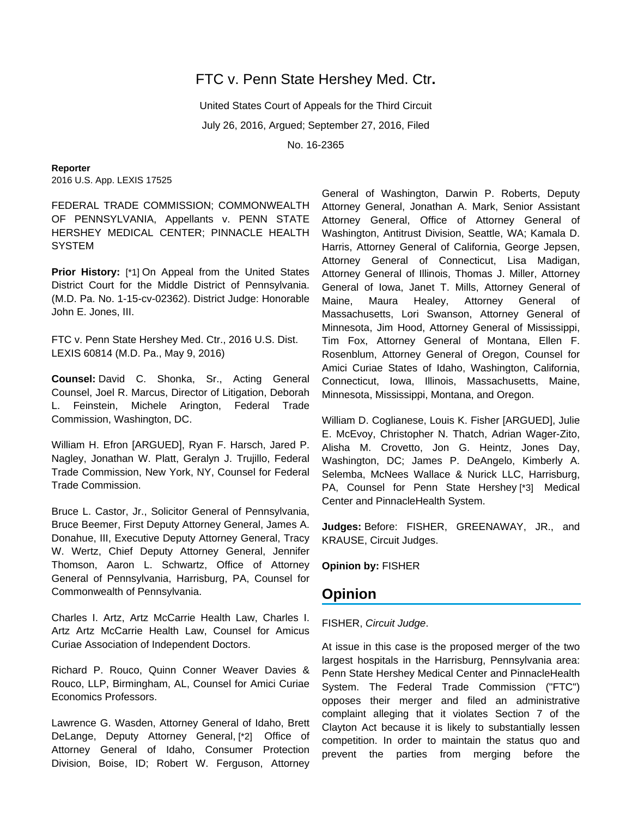# FTC v. Penn State Hershey Med. Ctr**.**

United States Court of Appeals for the Third Circuit July 26, 2016, Argued; September 27, 2016, Filed No. 16-2365

**Reporter** 2016 U.S. App. LEXIS 17525

FEDERAL TRADE COMMISSION; COMMONWEALTH OF PENNSYLVANIA, Appellants v. PENN STATE HERSHEY MEDICAL CENTER; PINNACLE HEALTH **SYSTEM** 

**Prior History:** [\*1] On Appeal from the United States District Court for the Middle District of Pennsylvania. (M.D. Pa. No. 1-15-cv-02362). District Judge: Honorable John E. Jones, III.

FTC v. Penn State Hershey Med. Ctr., 2016 U.S. Dist. LEXIS 60814 (M.D. Pa., May 9, 2016)

**Counsel:** David C. Shonka, Sr., Acting General Counsel, Joel R. Marcus, Director of Litigation, Deborah L. Feinstein, Michele Arington, Federal Trade Commission, Washington, DC.

William H. Efron [ARGUED], Ryan F. Harsch, Jared P. Nagley, Jonathan W. Platt, Geralyn J. Trujillo, Federal Trade Commission, New York, NY, Counsel for Federal Trade Commission.

Bruce L. Castor, Jr., Solicitor General of Pennsylvania, Bruce Beemer, First Deputy Attorney General, James A. Donahue, III, Executive Deputy Attorney General, Tracy W. Wertz, Chief Deputy Attorney General, Jennifer Thomson, Aaron L. Schwartz, Office of Attorney General of Pennsylvania, Harrisburg, PA, Counsel for Commonwealth of Pennsylvania.

Charles I. Artz, Artz McCarrie Health Law, Charles I. Artz Artz McCarrie Health Law, Counsel for Amicus Curiae Association of Independent Doctors.

Richard P. Rouco, Quinn Conner Weaver Davies & Rouco, LLP, Birmingham, AL, Counsel for Amici Curiae Economics Professors.

Lawrence G. Wasden, Attorney General of Idaho, Brett DeLange, Deputy Attorney General, [\*2] Office of Attorney General of Idaho, Consumer Protection Division, Boise, ID; Robert W. Ferguson, Attorney

General of Washington, Darwin P. Roberts, Deputy Attorney General, Jonathan A. Mark, Senior Assistant Attorney General, Office of Attorney General of Washington, Antitrust Division, Seattle, WA; Kamala D. Harris, Attorney General of California, George Jepsen, Attorney General of Connecticut, Lisa Madigan, Attorney General of Illinois, Thomas J. Miller, Attorney General of Iowa, Janet T. Mills, Attorney General of Maine, Maura Healey, Attorney General of Massachusetts, Lori Swanson, Attorney General of Minnesota, Jim Hood, Attorney General of Mississippi, Tim Fox, Attorney General of Montana, Ellen F. Rosenblum, Attorney General of Oregon, Counsel for Amici Curiae States of Idaho, Washington, California, Connecticut, Iowa, Illinois, Massachusetts, Maine, Minnesota, Mississippi, Montana, and Oregon.

William D. Coglianese, Louis K. Fisher [ARGUED], Julie E. McEvoy, Christopher N. Thatch, Adrian Wager-Zito, Alisha M. Crovetto, Jon G. Heintz, Jones Day, Washington, DC; James P. DeAngelo, Kimberly A. Selemba, McNees Wallace & Nurick LLC, Harrisburg, PA, Counsel for Penn State Hershey [\*3] Medical Center and PinnacleHealth System.

**Judges:** Before: FISHER, GREENAWAY, JR., and KRAUSE, Circuit Judges.

**Opinion by:** FISHER

# **Opinion**

### FISHER, Circuit Judge.

At issue in this case is the proposed merger of the two largest hospitals in the Harrisburg, Pennsylvania area: Penn State Hershey Medical Center and PinnacleHealth System. The Federal Trade Commission ("FTC") opposes their merger and filed an administrative complaint alleging that it violates Section 7 of the Clayton Act because it is likely to substantially lessen competition. In order to maintain the status quo and prevent the parties from merging before the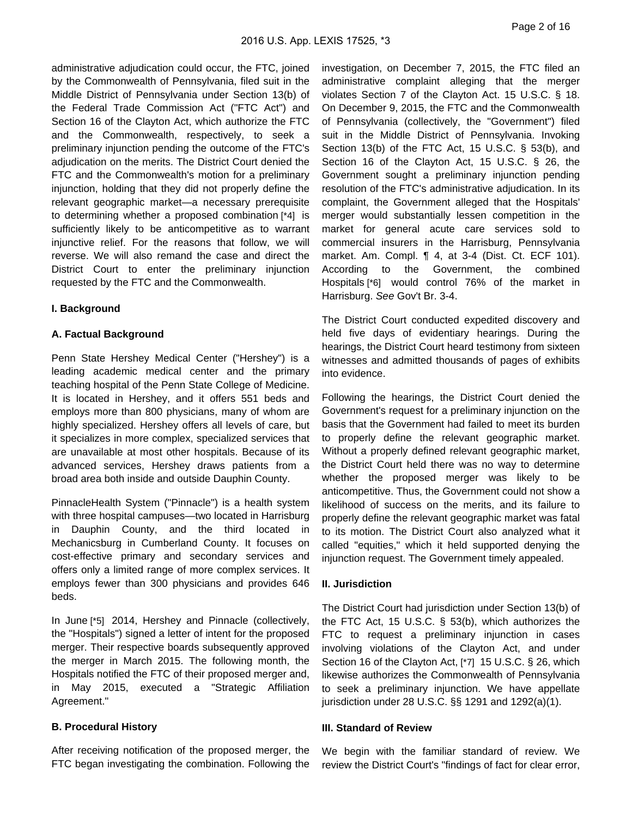administrative adjudication could occur, the FTC, joined by the Commonwealth of Pennsylvania, filed suit in the Middle District of Pennsylvania under Section 13(b) of the Federal Trade Commission Act ("FTC Act") and Section 16 of the Clayton Act, which authorize the FTC and the Commonwealth, respectively, to seek a preliminary injunction pending the outcome of the FTC's adjudication on the merits. The District Court denied the FTC and the Commonwealth's motion for a preliminary injunction, holding that they did not properly define the relevant geographic market—a necessary prerequisite to determining whether a proposed combination [\*4] is sufficiently likely to be anticompetitive as to warrant injunctive relief. For the reasons that follow, we will reverse. We will also remand the case and direct the District Court to enter the preliminary injunction requested by the FTC and the Commonwealth.

## **I. Background**

### **A. Factual Background**

Penn State Hershey Medical Center ("Hershey") is a leading academic medical center and the primary teaching hospital of the Penn State College of Medicine. It is located in Hershey, and it offers 551 beds and employs more than 800 physicians, many of whom are highly specialized. Hershey offers all levels of care, but it specializes in more complex, specialized services that are unavailable at most other hospitals. Because of its advanced services, Hershey draws patients from a broad area both inside and outside Dauphin County.

PinnacleHealth System ("Pinnacle") is a health system with three hospital campuses—two located in Harrisburg in Dauphin County, and the third located in Mechanicsburg in Cumberland County. It focuses on cost-effective primary and secondary services and offers only a limited range of more complex services. It employs fewer than 300 physicians and provides 646 beds.

In June [\*5] 2014, Hershey and Pinnacle (collectively, the "Hospitals") signed a letter of intent for the proposed merger. Their respective boards subsequently approved the merger in March 2015. The following month, the Hospitals notified the FTC of their proposed merger and, in May 2015, executed a "Strategic Affiliation Agreement."

### **B. Procedural History**

After receiving notification of the proposed merger, the FTC began investigating the combination. Following the investigation, on December 7, 2015, the FTC filed an administrative complaint alleging that the merger violates Section 7 of the Clayton Act. 15 U.S.C. § 18. On December 9, 2015, the FTC and the Commonwealth of Pennsylvania (collectively, the "Government") filed suit in the Middle District of Pennsylvania. Invoking Section 13(b) of the FTC Act, 15 U.S.C. § 53(b), and Section 16 of the Clayton Act, 15 U.S.C. § 26, the Government sought a preliminary injunction pending resolution of the FTC's administrative adjudication. In its complaint, the Government alleged that the Hospitals' merger would substantially lessen competition in the market for general acute care services sold to commercial insurers in the Harrisburg, Pennsylvania market. Am. Compl. ¶ 4, at 3-4 (Dist. Ct. ECF 101). According to the Government, the combined Hospitals [\*6] would control 76% of the market in Harrisburg. See Gov't Br. 3-4.

The District Court conducted expedited discovery and held five days of evidentiary hearings. During the hearings, the District Court heard testimony from sixteen witnesses and admitted thousands of pages of exhibits into evidence.

Following the hearings, the District Court denied the Government's request for a preliminary injunction on the basis that the Government had failed to meet its burden to properly define the relevant geographic market. Without a properly defined relevant geographic market, the District Court held there was no way to determine whether the proposed merger was likely to be anticompetitive. Thus, the Government could not show a likelihood of success on the merits, and its failure to properly define the relevant geographic market was fatal to its motion. The District Court also analyzed what it called "equities," which it held supported denying the injunction request. The Government timely appealed.

#### **II. Jurisdiction**

The District Court had jurisdiction under Section 13(b) of the FTC Act, 15 U.S.C. § 53(b), which authorizes the FTC to request a preliminary injunction in cases involving violations of the Clayton Act, and under Section 16 of the Clayton Act, [\*7] 15 U.S.C. § 26, which likewise authorizes the Commonwealth of Pennsylvania to seek a preliminary injunction. We have appellate jurisdiction under 28 U.S.C. §§ 1291 and 1292(a)(1).

#### **III. Standard of Review**

We begin with the familiar standard of review. We review the District Court's "findings of fact for clear error,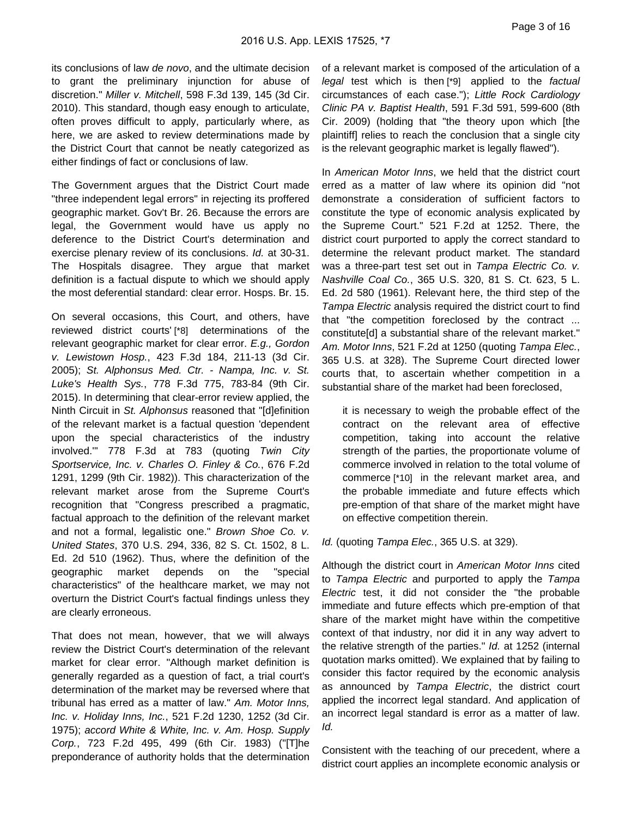its conclusions of law de novo, and the ultimate decision to grant the preliminary injunction for abuse of discretion." Miller v. Mitchell, 598 F.3d 139, 145 (3d Cir. 2010). This standard, though easy enough to articulate, often proves difficult to apply, particularly where, as here, we are asked to review determinations made by the District Court that cannot be neatly categorized as either findings of fact or conclusions of law.

The Government argues that the District Court made "three independent legal errors" in rejecting its proffered geographic market. Gov't Br. 26. Because the errors are legal, the Government would have us apply no deference to the District Court's determination and exercise plenary review of its conclusions. Id. at 30-31. The Hospitals disagree. They argue that market definition is a factual dispute to which we should apply the most deferential standard: clear error. Hosps. Br. 15.

On several occasions, this Court, and others, have reviewed district courts' [\*8] determinations of the relevant geographic market for clear error. E.g., Gordon v. Lewistown Hosp., 423 F.3d 184, 211-13 (3d Cir. 2005); St. Alphonsus Med. Ctr. - Nampa, Inc. v. St. Luke's Health Sys., 778 F.3d 775, 783-84 (9th Cir. 2015). In determining that clear-error review applied, the Ninth Circuit in St. Alphonsus reasoned that "[d]efinition of the relevant market is a factual question 'dependent upon the special characteristics of the industry involved.'" 778 F.3d at 783 (quoting Twin City Sportservice, Inc. v. Charles O. Finley & Co., 676 F.2d 1291, 1299 (9th Cir. 1982)). This characterization of the relevant market arose from the Supreme Court's recognition that "Congress prescribed a pragmatic, factual approach to the definition of the relevant market and not a formal, legalistic one." Brown Shoe Co. v. United States, 370 U.S. 294, 336, 82 S. Ct. 1502, 8 L. Ed. 2d 510 (1962). Thus, where the definition of the geographic market depends on the "special characteristics" of the healthcare market, we may not overturn the District Court's factual findings unless they are clearly erroneous.

That does not mean, however, that we will always review the District Court's determination of the relevant market for clear error. "Although market definition is generally regarded as a question of fact, a trial court's determination of the market may be reversed where that tribunal has erred as a matter of law." Am. Motor Inns, Inc. v. Holiday Inns, Inc., 521 F.2d 1230, 1252 (3d Cir. 1975); accord White & White, Inc. v. Am. Hosp. Supply Corp., 723 F.2d 495, 499 (6th Cir. 1983) ("[T]he preponderance of authority holds that the determination

of a relevant market is composed of the articulation of a legal test which is then [\*9] applied to the factual circumstances of each case."); Little Rock Cardiology Clinic PA v. Baptist Health, 591 F.3d 591, 599-600 (8th Cir. 2009) (holding that "the theory upon which [the plaintiff] relies to reach the conclusion that a single city is the relevant geographic market is legally flawed").

In American Motor Inns, we held that the district court erred as a matter of law where its opinion did "not demonstrate a consideration of sufficient factors to constitute the type of economic analysis explicated by the Supreme Court." 521 F.2d at 1252. There, the district court purported to apply the correct standard to determine the relevant product market. The standard was a three-part test set out in Tampa Electric Co. v. Nashville Coal Co., 365 U.S. 320, 81 S. Ct. 623, 5 L. Ed. 2d 580 (1961). Relevant here, the third step of the Tampa Electric analysis required the district court to find that "the competition foreclosed by the contract ... constitute[d] a substantial share of the relevant market." Am. Motor Inns, 521 F.2d at 1250 (quoting Tampa Elec., 365 U.S. at 328). The Supreme Court directed lower courts that, to ascertain whether competition in a substantial share of the market had been foreclosed,

it is necessary to weigh the probable effect of the contract on the relevant area of effective competition, taking into account the relative strength of the parties, the proportionate volume of commerce involved in relation to the total volume of commerce [\*10] in the relevant market area, and the probable immediate and future effects which pre-emption of that share of the market might have on effective competition therein.

#### Id. (quoting Tampa Elec., 365 U.S. at 329).

Although the district court in American Motor Inns cited to Tampa Electric and purported to apply the Tampa Electric test, it did not consider the "the probable immediate and future effects which pre-emption of that share of the market might have within the competitive context of that industry, nor did it in any way advert to the relative strength of the parties." Id. at 1252 (internal quotation marks omitted). We explained that by failing to consider this factor required by the economic analysis as announced by Tampa Electric, the district court applied the incorrect legal standard. And application of an incorrect legal standard is error as a matter of law. Id.

Consistent with the teaching of our precedent, where a district court applies an incomplete economic analysis or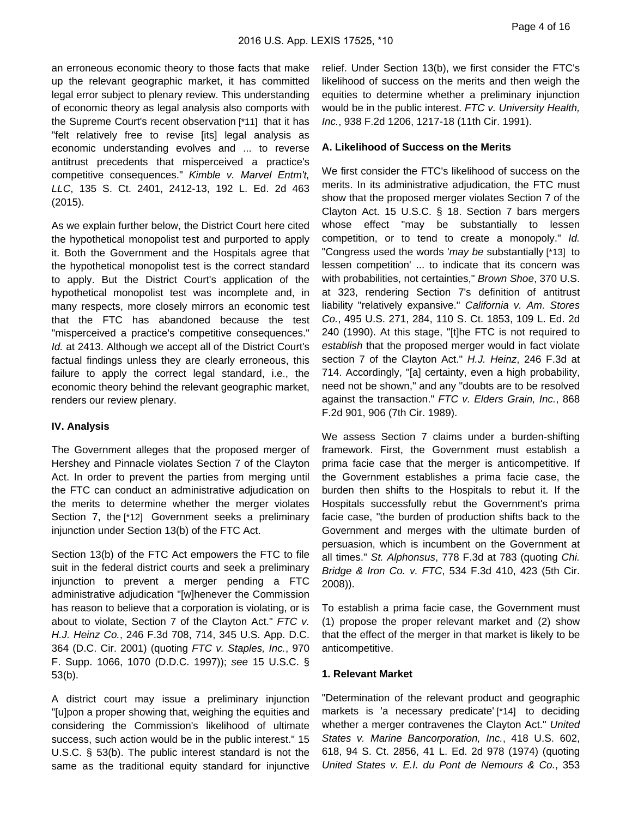Page 4 of 16

an erroneous economic theory to those facts that make up the relevant geographic market, it has committed legal error subject to plenary review. This understanding of economic theory as legal analysis also comports with the Supreme Court's recent observation [\*11] that it has "felt relatively free to revise [its] legal analysis as economic understanding evolves and ... to reverse antitrust precedents that misperceived a practice's competitive consequences." Kimble v. Marvel Entm't, LLC, 135 S. Ct. 2401, 2412-13, 192 L. Ed. 2d 463 (2015).

As we explain further below, the District Court here cited the hypothetical monopolist test and purported to apply it. Both the Government and the Hospitals agree that the hypothetical monopolist test is the correct standard to apply. But the District Court's application of the hypothetical monopolist test was incomplete and, in many respects, more closely mirrors an economic test that the FTC has abandoned because the test "misperceived a practice's competitive consequences." Id. at 2413. Although we accept all of the District Court's factual findings unless they are clearly erroneous, this failure to apply the correct legal standard, i.e., the economic theory behind the relevant geographic market, renders our review plenary.

# **IV. Analysis**

The Government alleges that the proposed merger of Hershey and Pinnacle violates Section 7 of the Clayton Act. In order to prevent the parties from merging until the FTC can conduct an administrative adjudication on the merits to determine whether the merger violates Section 7, the [\*12] Government seeks a preliminary injunction under Section 13(b) of the FTC Act.

Section 13(b) of the FTC Act empowers the FTC to file suit in the federal district courts and seek a preliminary injunction to prevent a merger pending a FTC administrative adjudication "[w]henever the Commission has reason to believe that a corporation is violating, or is about to violate, Section 7 of the Clayton Act." FTC v. H.J. Heinz Co., 246 F.3d 708, 714, 345 U.S. App. D.C. 364 (D.C. Cir. 2001) (quoting FTC v. Staples, Inc., 970 F. Supp. 1066, 1070 (D.D.C. 1997)); see 15 U.S.C. § 53(b).

A district court may issue a preliminary injunction "[u]pon a proper showing that, weighing the equities and considering the Commission's likelihood of ultimate success, such action would be in the public interest." 15 U.S.C. § 53(b). The public interest standard is not the same as the traditional equity standard for injunctive

relief. Under Section 13(b), we first consider the FTC's likelihood of success on the merits and then weigh the equities to determine whether a preliminary injunction would be in the public interest. FTC v. University Health, Inc., 938 F.2d 1206, 1217-18 (11th Cir. 1991).

# **A. Likelihood of Success on the Merits**

We first consider the FTC's likelihood of success on the merits. In its administrative adjudication, the FTC must show that the proposed merger violates Section 7 of the Clayton Act. 15 U.S.C. § 18. Section 7 bars mergers whose effect "may be substantially to lessen competition, or to tend to create a monopoly." Id. "Congress used the words 'may be substantially [\*13] to lessen competition' ... to indicate that its concern was with probabilities, not certainties," Brown Shoe, 370 U.S. at 323, rendering Section 7's definition of antitrust liability "relatively expansive." California v. Am. Stores Co., 495 U.S. 271, 284, 110 S. Ct. 1853, 109 L. Ed. 2d 240 (1990). At this stage, "[t]he FTC is not required to establish that the proposed merger would in fact violate section 7 of the Clayton Act." H.J. Heinz, 246 F.3d at 714. Accordingly, "[a] certainty, even a high probability, need not be shown," and any "doubts are to be resolved against the transaction." FTC v. Elders Grain, Inc., 868 F.2d 901, 906 (7th Cir. 1989).

We assess Section 7 claims under a burden-shifting framework. First, the Government must establish a prima facie case that the merger is anticompetitive. If the Government establishes a prima facie case, the burden then shifts to the Hospitals to rebut it. If the Hospitals successfully rebut the Government's prima facie case, "the burden of production shifts back to the Government and merges with the ultimate burden of persuasion, which is incumbent on the Government at all times." St. Alphonsus, 778 F.3d at 783 (quoting Chi. Bridge & Iron Co. v. FTC, 534 F.3d 410, 423 (5th Cir. 2008)).

To establish a prima facie case, the Government must (1) propose the proper relevant market and (2) show that the effect of the merger in that market is likely to be anticompetitive.

# **1. Relevant Market**

"Determination of the relevant product and geographic markets is 'a necessary predicate' [\*14] to deciding whether a merger contravenes the Clayton Act." United States v. Marine Bancorporation, Inc., 418 U.S. 602, 618, 94 S. Ct. 2856, 41 L. Ed. 2d 978 (1974) (quoting United States v. E.I. du Pont de Nemours & Co., 353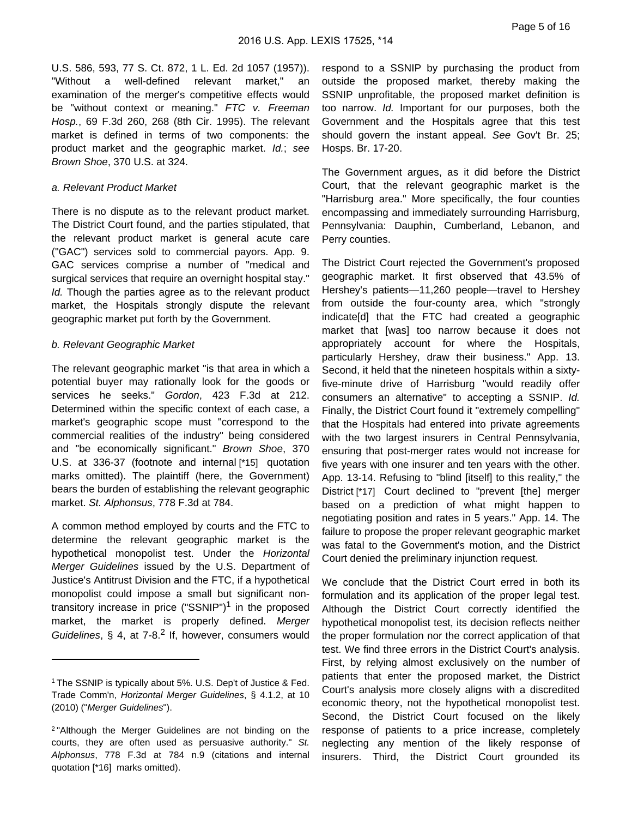U.S. 586, 593, 77 S. Ct. 872, 1 L. Ed. 2d 1057 (1957)). "Without a well-defined relevant market," an examination of the merger's competitive effects would be "without context or meaning." FTC v. Freeman Hosp., 69 F.3d 260, 268 (8th Cir. 1995). The relevant market is defined in terms of two components: the product market and the geographic market. Id.; see Brown Shoe, 370 U.S. at 324.

#### a. Relevant Product Market

There is no dispute as to the relevant product market. The District Court found, and the parties stipulated, that the relevant product market is general acute care ("GAC") services sold to commercial payors. App. 9. GAC services comprise a number of "medical and surgical services that require an overnight hospital stay." Id. Though the parties agree as to the relevant product market, the Hospitals strongly dispute the relevant geographic market put forth by the Government.

#### b. Relevant Geographic Market

The relevant geographic market "is that area in which a potential buyer may rationally look for the goods or services he seeks." Gordon, 423 F.3d at 212. Determined within the specific context of each case, a market's geographic scope must "correspond to the commercial realities of the industry" being considered and "be economically significant." Brown Shoe, 370 U.S. at 336-37 (footnote and internal [\*15] quotation marks omitted). The plaintiff (here, the Government) bears the burden of establishing the relevant geographic market. St. Alphonsus, 778 F.3d at 784.

A common method employed by courts and the FTC to determine the relevant geographic market is the hypothetical monopolist test. Under the Horizontal Merger Guidelines issued by the U.S. Department of Justice's Antitrust Division and the FTC, if a hypothetical monopolist could impose a small but significant nontransitory increase in price ("SSNIP")<sup>1</sup> in the proposed market, the market is properly defined. Merger Guidelines,  $\S$  4, at 7-8.<sup>2</sup> If, however, consumers would

respond to a SSNIP by purchasing the product from outside the proposed market, thereby making the SSNIP unprofitable, the proposed market definition is too narrow. Id. Important for our purposes, both the Government and the Hospitals agree that this test should govern the instant appeal. See Gov't Br. 25; Hosps. Br. 17-20.

The Government argues, as it did before the District Court, that the relevant geographic market is the "Harrisburg area." More specifically, the four counties encompassing and immediately surrounding Harrisburg, Pennsylvania: Dauphin, Cumberland, Lebanon, and Perry counties.

The District Court rejected the Government's proposed geographic market. It first observed that 43.5% of Hershey's patients—11,260 people—travel to Hershey from outside the four-county area, which "strongly indicate[d] that the FTC had created a geographic market that [was] too narrow because it does not appropriately account for where the Hospitals, particularly Hershey, draw their business." App. 13. Second, it held that the nineteen hospitals within a sixtyfive-minute drive of Harrisburg "would readily offer consumers an alternative" to accepting a SSNIP. Id. Finally, the District Court found it "extremely compelling" that the Hospitals had entered into private agreements with the two largest insurers in Central Pennsylvania, ensuring that post-merger rates would not increase for five years with one insurer and ten years with the other. App. 13-14. Refusing to "blind [itself] to this reality," the District [\*17] Court declined to "prevent [the] merger based on a prediction of what might happen to negotiating position and rates in 5 years." App. 14. The failure to propose the proper relevant geographic market was fatal to the Government's motion, and the District Court denied the preliminary injunction request.

We conclude that the District Court erred in both its formulation and its application of the proper legal test. Although the District Court correctly identified the hypothetical monopolist test, its decision reflects neither the proper formulation nor the correct application of that test. We find three errors in the District Court's analysis. First, by relying almost exclusively on the number of patients that enter the proposed market, the District Court's analysis more closely aligns with a discredited economic theory, not the hypothetical monopolist test. Second, the District Court focused on the likely response of patients to a price increase, completely neglecting any mention of the likely response of insurers. Third, the District Court grounded its

<sup>1</sup> The SSNIP is typically about 5%. U.S. Dep't of Justice & Fed. Trade Comm'n, Horizontal Merger Guidelines, § 4.1.2, at 10 (2010) ("Merger Guidelines").

<sup>2</sup> "Although the Merger Guidelines are not binding on the courts, they are often used as persuasive authority." St. Alphonsus, 778 F.3d at 784 n.9 (citations and internal quotation [\*16] marks omitted).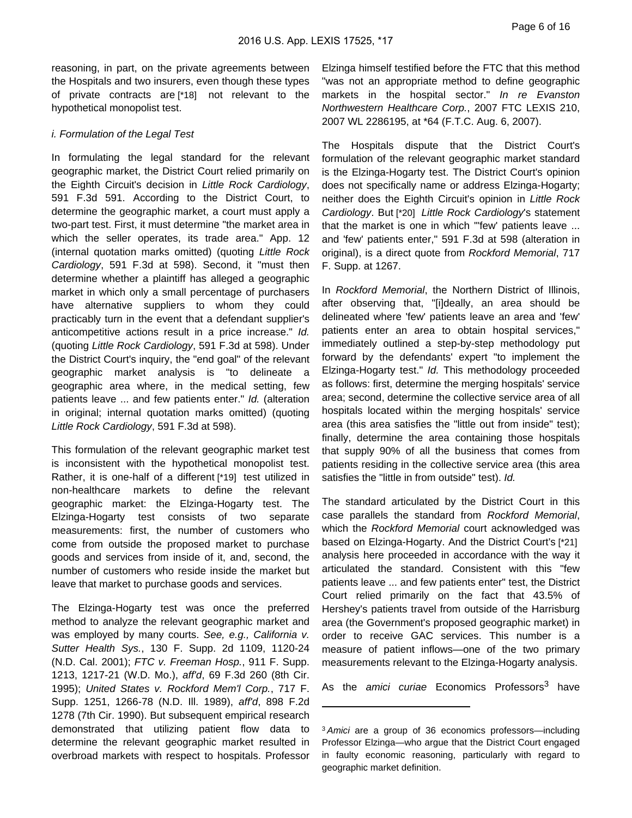reasoning, in part, on the private agreements between the Hospitals and two insurers, even though these types of private contracts are [\*18] not relevant to the hypothetical monopolist test.

#### i. Formulation of the Legal Test

In formulating the legal standard for the relevant geographic market, the District Court relied primarily on the Eighth Circuit's decision in Little Rock Cardiology, 591 F.3d 591. According to the District Court, to determine the geographic market, a court must apply a two-part test. First, it must determine "the market area in which the seller operates, its trade area." App. 12 (internal quotation marks omitted) (quoting Little Rock Cardiology, 591 F.3d at 598). Second, it "must then determine whether a plaintiff has alleged a geographic market in which only a small percentage of purchasers have alternative suppliers to whom they could practicably turn in the event that a defendant supplier's anticompetitive actions result in a price increase." Id. (quoting Little Rock Cardiology, 591 F.3d at 598). Under the District Court's inquiry, the "end goal" of the relevant geographic market analysis is "to delineate a geographic area where, in the medical setting, few patients leave ... and few patients enter." Id. (alteration in original; internal quotation marks omitted) (quoting Little Rock Cardiology, 591 F.3d at 598).

This formulation of the relevant geographic market test is inconsistent with the hypothetical monopolist test. Rather, it is one-half of a different [\*19] test utilized in non-healthcare markets to define the relevant geographic market: the Elzinga-Hogarty test. The Elzinga-Hogarty test consists of two separate measurements: first, the number of customers who come from outside the proposed market to purchase goods and services from inside of it, and, second, the number of customers who reside inside the market but leave that market to purchase goods and services.

The Elzinga-Hogarty test was once the preferred method to analyze the relevant geographic market and was employed by many courts. See, e.g., California v. Sutter Health Sys., 130 F. Supp. 2d 1109, 1120-24 (N.D. Cal. 2001); FTC v. Freeman Hosp., 911 F. Supp. 1213, 1217-21 (W.D. Mo.), aff'd, 69 F.3d 260 (8th Cir. 1995); United States v. Rockford Mem'l Corp., 717 F. Supp. 1251, 1266-78 (N.D. Ill. 1989), aff'd, 898 F.2d 1278 (7th Cir. 1990). But subsequent empirical research demonstrated that utilizing patient flow data to determine the relevant geographic market resulted in overbroad markets with respect to hospitals. Professor Elzinga himself testified before the FTC that this method "was not an appropriate method to define geographic markets in the hospital sector." In re Evanston Northwestern Healthcare Corp., 2007 FTC LEXIS 210, 2007 WL 2286195, at \*64 (F.T.C. Aug. 6, 2007).

The Hospitals dispute that the District Court's formulation of the relevant geographic market standard is the Elzinga-Hogarty test. The District Court's opinion does not specifically name or address Elzinga-Hogarty; neither does the Eighth Circuit's opinion in Little Rock Cardiology. But [\*20] Little Rock Cardiology's statement that the market is one in which "'few' patients leave ... and 'few' patients enter," 591 F.3d at 598 (alteration in original), is a direct quote from Rockford Memorial, 717 F. Supp. at 1267.

In Rockford Memorial, the Northern District of Illinois, after observing that, "[i]deally, an area should be delineated where 'few' patients leave an area and 'few' patients enter an area to obtain hospital services," immediately outlined a step-by-step methodology put forward by the defendants' expert "to implement the Elzinga-Hogarty test." Id. This methodology proceeded as follows: first, determine the merging hospitals' service area; second, determine the collective service area of all hospitals located within the merging hospitals' service area (this area satisfies the "little out from inside" test); finally, determine the area containing those hospitals that supply 90% of all the business that comes from patients residing in the collective service area (this area satisfies the "little in from outside" test). Id.

The standard articulated by the District Court in this case parallels the standard from Rockford Memorial, which the Rockford Memorial court acknowledged was based on Elzinga-Hogarty. And the District Court's [\*21] analysis here proceeded in accordance with the way it articulated the standard. Consistent with this "few patients leave ... and few patients enter" test, the District Court relied primarily on the fact that 43.5% of Hershey's patients travel from outside of the Harrisburg area (the Government's proposed geographic market) in order to receive GAC services. This number is a measure of patient inflows—one of the two primary measurements relevant to the Elzinga-Hogarty analysis.

As the amici curiae Economics Professors<sup>3</sup> have

<sup>3</sup> Amici are a group of 36 economics professors—including Professor Elzinga—who argue that the District Court engaged in faulty economic reasoning, particularly with regard to geographic market definition.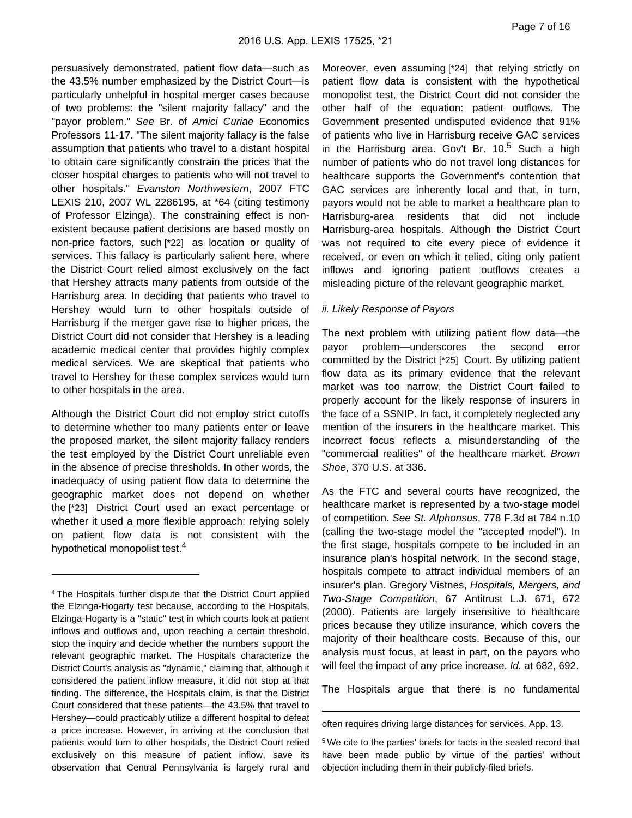persuasively demonstrated, patient flow data—such as the 43.5% number emphasized by the District Court—is particularly unhelpful in hospital merger cases because of two problems: the "silent majority fallacy" and the "payor problem." See Br. of Amici Curiae Economics Professors 11-17. "The silent majority fallacy is the false assumption that patients who travel to a distant hospital to obtain care significantly constrain the prices that the closer hospital charges to patients who will not travel to other hospitals." Evanston Northwestern, 2007 FTC LEXIS 210, 2007 WL 2286195, at \*64 (citing testimony of Professor Elzinga). The constraining effect is nonexistent because patient decisions are based mostly on non-price factors, such [\*22] as location or quality of services. This fallacy is particularly salient here, where the District Court relied almost exclusively on the fact that Hershey attracts many patients from outside of the Harrisburg area. In deciding that patients who travel to Hershey would turn to other hospitals outside of Harrisburg if the merger gave rise to higher prices, the District Court did not consider that Hershey is a leading academic medical center that provides highly complex medical services. We are skeptical that patients who travel to Hershey for these complex services would turn to other hospitals in the area.

Although the District Court did not employ strict cutoffs to determine whether too many patients enter or leave the proposed market, the silent majority fallacy renders the test employed by the District Court unreliable even in the absence of precise thresholds. In other words, the inadequacy of using patient flow data to determine the geographic market does not depend on whether the [\*23] District Court used an exact percentage or whether it used a more flexible approach: relying solely on patient flow data is not consistent with the hypothetical monopolist test.<sup>4</sup>

Moreover, even assuming [\*24] that relying strictly on patient flow data is consistent with the hypothetical monopolist test, the District Court did not consider the other half of the equation: patient outflows. The Government presented undisputed evidence that 91% of patients who live in Harrisburg receive GAC services in the Harrisburg area. Gov't Br.  $10<sup>5</sup>$  Such a high number of patients who do not travel long distances for healthcare supports the Government's contention that GAC services are inherently local and that, in turn, payors would not be able to market a healthcare plan to Harrisburg-area residents that did not include Harrisburg-area hospitals. Although the District Court was not required to cite every piece of evidence it received, or even on which it relied, citing only patient inflows and ignoring patient outflows creates a misleading picture of the relevant geographic market.

#### ii. Likely Response of Payors

The next problem with utilizing patient flow data—the payor problem—underscores the second error committed by the District [\*25] Court. By utilizing patient flow data as its primary evidence that the relevant market was too narrow, the District Court failed to properly account for the likely response of insurers in the face of a SSNIP. In fact, it completely neglected any mention of the insurers in the healthcare market. This incorrect focus reflects a misunderstanding of the "commercial realities" of the healthcare market. Brown Shoe, 370 U.S. at 336.

As the FTC and several courts have recognized, the healthcare market is represented by a two-stage model of competition. See St. Alphonsus, 778 F.3d at 784 n.10 (calling the two-stage model the "accepted model"). In the first stage, hospitals compete to be included in an insurance plan's hospital network. In the second stage, hospitals compete to attract individual members of an insurer's plan. Gregory Vistnes, Hospitals, Mergers, and Two-Stage Competition, 67 Antitrust L.J. 671, 672 (2000). Patients are largely insensitive to healthcare prices because they utilize insurance, which covers the majority of their healthcare costs. Because of this, our analysis must focus, at least in part, on the payors who will feel the impact of any price increase. Id. at 682, 692.

The Hospitals argue that there is no fundamental

<sup>4</sup> The Hospitals further dispute that the District Court applied the Elzinga-Hogarty test because, according to the Hospitals, Elzinga-Hogarty is a "static" test in which courts look at patient inflows and outflows and, upon reaching a certain threshold, stop the inquiry and decide whether the numbers support the relevant geographic market. The Hospitals characterize the District Court's analysis as "dynamic," claiming that, although it considered the patient inflow measure, it did not stop at that finding. The difference, the Hospitals claim, is that the District Court considered that these patients—the 43.5% that travel to Hershey—could practicably utilize a different hospital to defeat a price increase. However, in arriving at the conclusion that patients would turn to other hospitals, the District Court relied exclusively on this measure of patient inflow, save its observation that Central Pennsylvania is largely rural and

often requires driving large distances for services. App. 13.

<sup>5</sup> We cite to the parties' briefs for facts in the sealed record that have been made public by virtue of the parties' without objection including them in their publicly-filed briefs.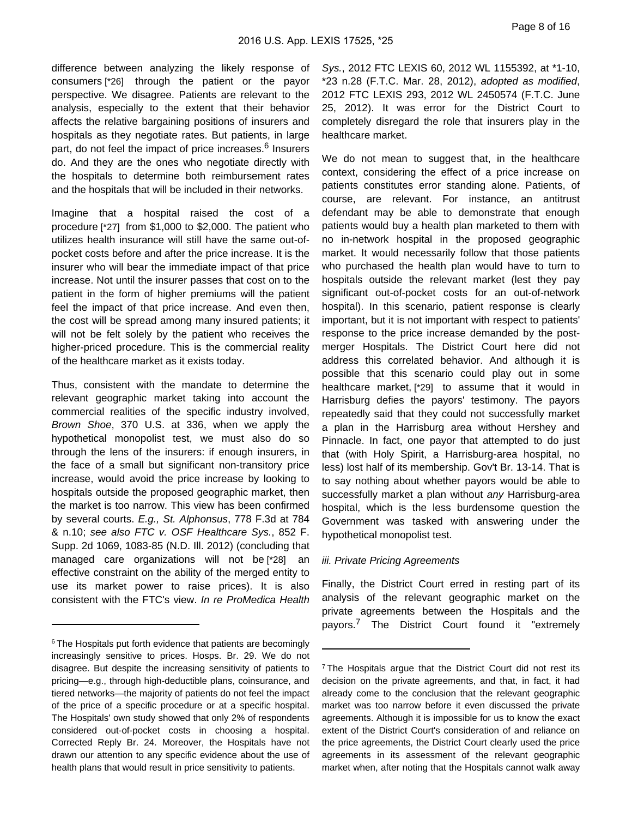difference between analyzing the likely response of consumers [\*26] through the patient or the payor perspective. We disagree. Patients are relevant to the analysis, especially to the extent that their behavior affects the relative bargaining positions of insurers and hospitals as they negotiate rates. But patients, in large part, do not feel the impact of price increases.<sup>6</sup> Insurers do. And they are the ones who negotiate directly with the hospitals to determine both reimbursement rates and the hospitals that will be included in their networks.

Imagine that a hospital raised the cost of a procedure [\*27] from \$1,000 to \$2,000. The patient who utilizes health insurance will still have the same out-ofpocket costs before and after the price increase. It is the insurer who will bear the immediate impact of that price increase. Not until the insurer passes that cost on to the patient in the form of higher premiums will the patient feel the impact of that price increase. And even then, the cost will be spread among many insured patients; it will not be felt solely by the patient who receives the higher-priced procedure. This is the commercial reality of the healthcare market as it exists today.

Thus, consistent with the mandate to determine the relevant geographic market taking into account the commercial realities of the specific industry involved, Brown Shoe, 370 U.S. at 336, when we apply the hypothetical monopolist test, we must also do so through the lens of the insurers: if enough insurers, in the face of a small but significant non-transitory price increase, would avoid the price increase by looking to hospitals outside the proposed geographic market, then the market is too narrow. This view has been confirmed by several courts. E.g., St. Alphonsus, 778 F.3d at 784 & n.10; see also FTC v. OSF Healthcare Sys., 852 F. Supp. 2d 1069, 1083-85 (N.D. Ill. 2012) (concluding that managed care organizations will not be [\*28] an effective constraint on the ability of the merged entity to use its market power to raise prices). It is also consistent with the FTC's view. In re ProMedica Health

Sys., 2012 FTC LEXIS 60, 2012 WL 1155392, at \*1-10, \*23 n.28 (F.T.C. Mar. 28, 2012), adopted as modified, 2012 FTC LEXIS 293, 2012 WL 2450574 (F.T.C. June 25, 2012). It was error for the District Court to completely disregard the role that insurers play in the healthcare market.

We do not mean to suggest that, in the healthcare context, considering the effect of a price increase on patients constitutes error standing alone. Patients, of course, are relevant. For instance, an antitrust defendant may be able to demonstrate that enough patients would buy a health plan marketed to them with no in-network hospital in the proposed geographic market. It would necessarily follow that those patients who purchased the health plan would have to turn to hospitals outside the relevant market (lest they pay significant out-of-pocket costs for an out-of-network hospital). In this scenario, patient response is clearly important, but it is not important with respect to patients' response to the price increase demanded by the postmerger Hospitals. The District Court here did not address this correlated behavior. And although it is possible that this scenario could play out in some healthcare market, [\*29] to assume that it would in Harrisburg defies the payors' testimony. The payors repeatedly said that they could not successfully market a plan in the Harrisburg area without Hershey and Pinnacle. In fact, one payor that attempted to do just that (with Holy Spirit, a Harrisburg-area hospital, no less) lost half of its membership. Gov't Br. 13-14. That is to say nothing about whether payors would be able to successfully market a plan without any Harrisburg-area hospital, which is the less burdensome question the Government was tasked with answering under the hypothetical monopolist test.

#### iii. Private Pricing Agreements

Finally, the District Court erred in resting part of its analysis of the relevant geographic market on the private agreements between the Hospitals and the payors.<sup>7</sup> The District Court found it "extremely

<sup>&</sup>lt;sup>6</sup> The Hospitals put forth evidence that patients are becomingly increasingly sensitive to prices. Hosps. Br. 29. We do not disagree. But despite the increasing sensitivity of patients to pricing—e.g., through high-deductible plans, coinsurance, and tiered networks—the majority of patients do not feel the impact of the price of a specific procedure or at a specific hospital. The Hospitals' own study showed that only 2% of respondents considered out-of-pocket costs in choosing a hospital. Corrected Reply Br. 24. Moreover, the Hospitals have not drawn our attention to any specific evidence about the use of health plans that would result in price sensitivity to patients.

<sup>&</sup>lt;sup>7</sup> The Hospitals argue that the District Court did not rest its decision on the private agreements, and that, in fact, it had already come to the conclusion that the relevant geographic market was too narrow before it even discussed the private agreements. Although it is impossible for us to know the exact extent of the District Court's consideration of and reliance on the price agreements, the District Court clearly used the price agreements in its assessment of the relevant geographic market when, after noting that the Hospitals cannot walk away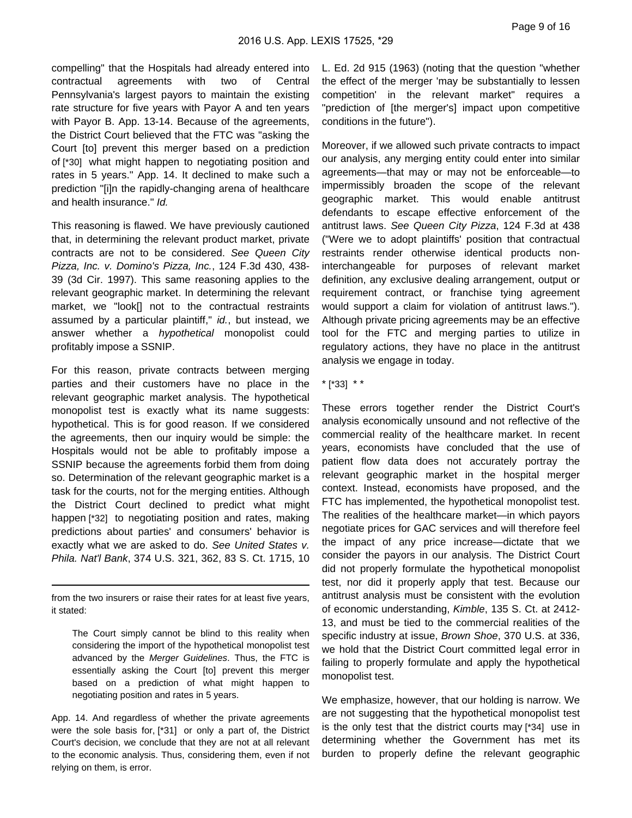compelling" that the Hospitals had already entered into contractual agreements with two of Central Pennsylvania's largest payors to maintain the existing rate structure for five years with Payor A and ten years with Payor B. App. 13-14. Because of the agreements, the District Court believed that the FTC was "asking the Court [to] prevent this merger based on a prediction of [\*30] what might happen to negotiating position and rates in 5 years." App. 14. It declined to make such a prediction "[i]n the rapidly-changing arena of healthcare and health insurance." Id.

This reasoning is flawed. We have previously cautioned that, in determining the relevant product market, private contracts are not to be considered. See Queen City Pizza, Inc. v. Domino's Pizza, Inc., 124 F.3d 430, 438- 39 (3d Cir. 1997). This same reasoning applies to the relevant geographic market. In determining the relevant market, we "look[] not to the contractual restraints assumed by a particular plaintiff," id., but instead, we answer whether a hypothetical monopolist could profitably impose a SSNIP.

For this reason, private contracts between merging parties and their customers have no place in the relevant geographic market analysis. The hypothetical monopolist test is exactly what its name suggests: hypothetical. This is for good reason. If we considered the agreements, then our inquiry would be simple: the Hospitals would not be able to profitably impose a SSNIP because the agreements forbid them from doing so. Determination of the relevant geographic market is a task for the courts, not for the merging entities. Although the District Court declined to predict what might happen [\*32] to negotiating position and rates, making predictions about parties' and consumers' behavior is exactly what we are asked to do. See United States v. Phila. Nat'l Bank, 374 U.S. 321, 362, 83 S. Ct. 1715, 10

from the two insurers or raise their rates for at least five years, it stated:

The Court simply cannot be blind to this reality when considering the import of the hypothetical monopolist test advanced by the Merger Guidelines. Thus, the FTC is essentially asking the Court [to] prevent this merger based on a prediction of what might happen to negotiating position and rates in 5 years.

App. 14. And regardless of whether the private agreements were the sole basis for, [\*31] or only a part of, the District Court's decision, we conclude that they are not at all relevant to the economic analysis. Thus, considering them, even if not relying on them, is error.

L. Ed. 2d 915 (1963) (noting that the question "whether the effect of the merger 'may be substantially to lessen competition' in the relevant market" requires a "prediction of [the merger's] impact upon competitive conditions in the future").

Moreover, if we allowed such private contracts to impact our analysis, any merging entity could enter into similar agreements—that may or may not be enforceable—to impermissibly broaden the scope of the relevant geographic market. This would enable antitrust defendants to escape effective enforcement of the antitrust laws. See Queen City Pizza, 124 F.3d at 438 ("Were we to adopt plaintiffs' position that contractual restraints render otherwise identical products noninterchangeable for purposes of relevant market definition, any exclusive dealing arrangement, output or requirement contract, or franchise tying agreement would support a claim for violation of antitrust laws."). Although private pricing agreements may be an effective tool for the FTC and merging parties to utilize in regulatory actions, they have no place in the antitrust analysis we engage in today.

\* [\*33] \* \*

These errors together render the District Court's analysis economically unsound and not reflective of the commercial reality of the healthcare market. In recent years, economists have concluded that the use of patient flow data does not accurately portray the relevant geographic market in the hospital merger context. Instead, economists have proposed, and the FTC has implemented, the hypothetical monopolist test. The realities of the healthcare market—in which payors negotiate prices for GAC services and will therefore feel the impact of any price increase—dictate that we consider the payors in our analysis. The District Court did not properly formulate the hypothetical monopolist test, nor did it properly apply that test. Because our antitrust analysis must be consistent with the evolution of economic understanding, Kimble, 135 S. Ct. at 2412- 13, and must be tied to the commercial realities of the specific industry at issue, Brown Shoe, 370 U.S. at 336, we hold that the District Court committed legal error in failing to properly formulate and apply the hypothetical monopolist test.

We emphasize, however, that our holding is narrow. We are not suggesting that the hypothetical monopolist test is the only test that the district courts may [\*34] use in determining whether the Government has met its burden to properly define the relevant geographic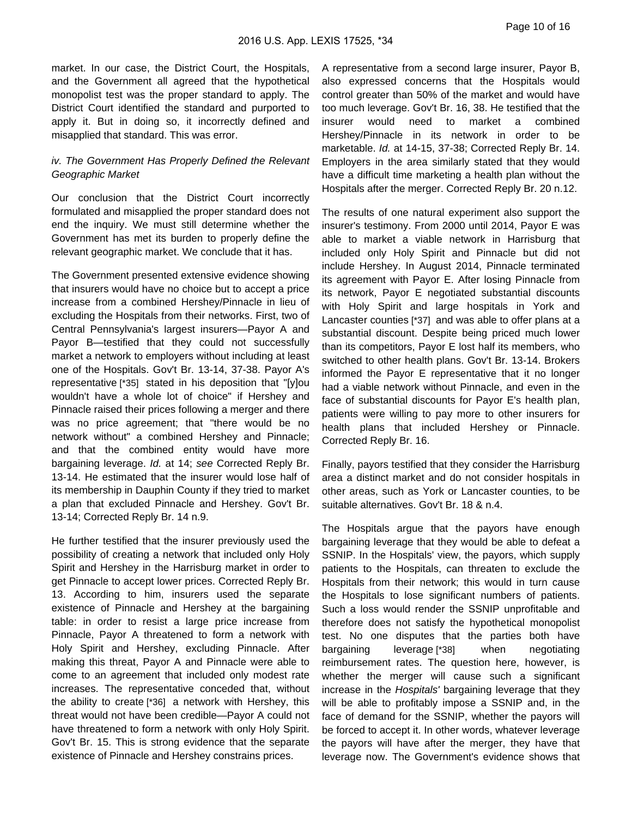market. In our case, the District Court, the Hospitals, and the Government all agreed that the hypothetical monopolist test was the proper standard to apply. The District Court identified the standard and purported to apply it. But in doing so, it incorrectly defined and misapplied that standard. This was error.

# iv. The Government Has Properly Defined the Relevant Geographic Market

Our conclusion that the District Court incorrectly formulated and misapplied the proper standard does not end the inquiry. We must still determine whether the Government has met its burden to properly define the relevant geographic market. We conclude that it has.

The Government presented extensive evidence showing that insurers would have no choice but to accept a price increase from a combined Hershey/Pinnacle in lieu of excluding the Hospitals from their networks. First, two of Central Pennsylvania's largest insurers—Payor A and Payor B—testified that they could not successfully market a network to employers without including at least one of the Hospitals. Gov't Br. 13-14, 37-38. Payor A's representative [\*35] stated in his deposition that "[y]ou wouldn't have a whole lot of choice" if Hershey and Pinnacle raised their prices following a merger and there was no price agreement; that "there would be no network without" a combined Hershey and Pinnacle; and that the combined entity would have more bargaining leverage. Id. at 14; see Corrected Reply Br. 13-14. He estimated that the insurer would lose half of its membership in Dauphin County if they tried to market a plan that excluded Pinnacle and Hershey. Gov't Br. 13-14; Corrected Reply Br. 14 n.9.

He further testified that the insurer previously used the possibility of creating a network that included only Holy Spirit and Hershey in the Harrisburg market in order to get Pinnacle to accept lower prices. Corrected Reply Br. 13. According to him, insurers used the separate existence of Pinnacle and Hershey at the bargaining table: in order to resist a large price increase from Pinnacle, Payor A threatened to form a network with Holy Spirit and Hershey, excluding Pinnacle. After making this threat, Payor A and Pinnacle were able to come to an agreement that included only modest rate increases. The representative conceded that, without the ability to create [\*36] a network with Hershey, this threat would not have been credible—Payor A could not have threatened to form a network with only Holy Spirit. Gov't Br. 15. This is strong evidence that the separate existence of Pinnacle and Hershey constrains prices.

A representative from a second large insurer, Payor B, also expressed concerns that the Hospitals would control greater than 50% of the market and would have too much leverage. Gov't Br. 16, 38. He testified that the insurer would need to market a combined Hershey/Pinnacle in its network in order to be marketable. Id. at 14-15, 37-38; Corrected Reply Br. 14. Employers in the area similarly stated that they would have a difficult time marketing a health plan without the Hospitals after the merger. Corrected Reply Br. 20 n.12.

The results of one natural experiment also support the insurer's testimony. From 2000 until 2014, Payor E was able to market a viable network in Harrisburg that included only Holy Spirit and Pinnacle but did not include Hershey. In August 2014, Pinnacle terminated its agreement with Payor E. After losing Pinnacle from its network, Payor E negotiated substantial discounts with Holy Spirit and large hospitals in York and Lancaster counties [\*37] and was able to offer plans at a substantial discount. Despite being priced much lower than its competitors, Payor E lost half its members, who switched to other health plans. Gov't Br. 13-14. Brokers informed the Payor E representative that it no longer had a viable network without Pinnacle, and even in the face of substantial discounts for Payor E's health plan, patients were willing to pay more to other insurers for health plans that included Hershey or Pinnacle. Corrected Reply Br. 16.

Finally, payors testified that they consider the Harrisburg area a distinct market and do not consider hospitals in other areas, such as York or Lancaster counties, to be suitable alternatives. Gov't Br. 18 & n.4.

The Hospitals argue that the payors have enough bargaining leverage that they would be able to defeat a SSNIP. In the Hospitals' view, the payors, which supply patients to the Hospitals, can threaten to exclude the Hospitals from their network; this would in turn cause the Hospitals to lose significant numbers of patients. Such a loss would render the SSNIP unprofitable and therefore does not satisfy the hypothetical monopolist test. No one disputes that the parties both have bargaining leverage [\*38] when negotiating reimbursement rates. The question here, however, is whether the merger will cause such a significant increase in the Hospitals' bargaining leverage that they will be able to profitably impose a SSNIP and, in the face of demand for the SSNIP, whether the payors will be forced to accept it. In other words, whatever leverage the payors will have after the merger, they have that leverage now. The Government's evidence shows that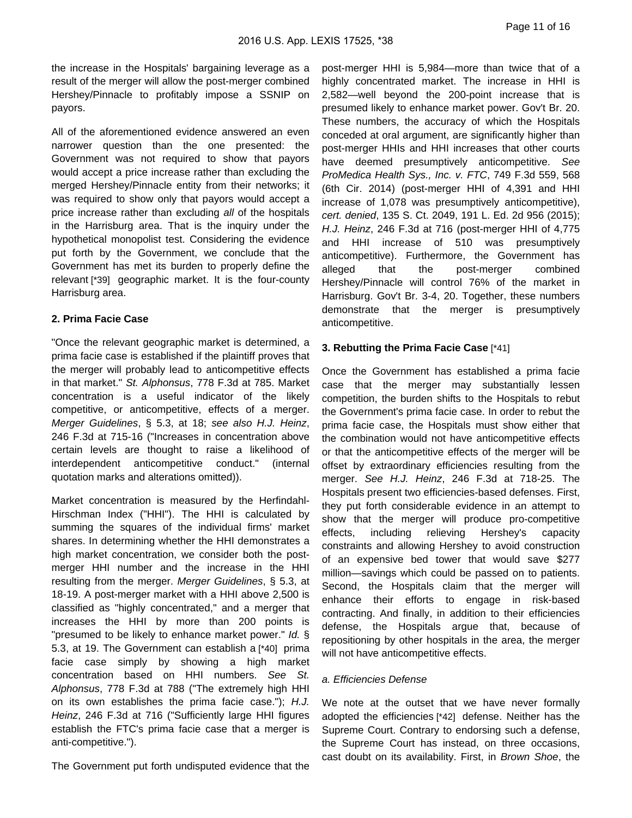the increase in the Hospitals' bargaining leverage as a result of the merger will allow the post-merger combined Hershey/Pinnacle to profitably impose a SSNIP on payors.

All of the aforementioned evidence answered an even narrower question than the one presented: the Government was not required to show that payors would accept a price increase rather than excluding the merged Hershey/Pinnacle entity from their networks; it was required to show only that payors would accept a price increase rather than excluding all of the hospitals in the Harrisburg area. That is the inquiry under the hypothetical monopolist test. Considering the evidence put forth by the Government, we conclude that the Government has met its burden to properly define the relevant [\*39] geographic market. It is the four-county Harrisburg area.

### **2. Prima Facie Case**

"Once the relevant geographic market is determined, a prima facie case is established if the plaintiff proves that the merger will probably lead to anticompetitive effects in that market." St. Alphonsus, 778 F.3d at 785. Market concentration is a useful indicator of the likely competitive, or anticompetitive, effects of a merger. Merger Guidelines, § 5.3, at 18; see also H.J. Heinz, 246 F.3d at 715-16 ("Increases in concentration above certain levels are thought to raise a likelihood of interdependent anticompetitive conduct." (internal quotation marks and alterations omitted)).

Market concentration is measured by the Herfindahl-Hirschman Index ("HHI"). The HHI is calculated by summing the squares of the individual firms' market shares. In determining whether the HHI demonstrates a high market concentration, we consider both the postmerger HHI number and the increase in the HHI resulting from the merger. Merger Guidelines, § 5.3, at 18-19. A post-merger market with a HHI above 2,500 is classified as "highly concentrated," and a merger that increases the HHI by more than 200 points is "presumed to be likely to enhance market power." Id. § 5.3, at 19. The Government can establish a [\*40] prima facie case simply by showing a high market concentration based on HHI numbers. See St. Alphonsus, 778 F.3d at 788 ("The extremely high HHI on its own establishes the prima facie case."); H.J. Heinz, 246 F.3d at 716 ("Sufficiently large HHI figures establish the FTC's prima facie case that a merger is anti-competitive.").

The Government put forth undisputed evidence that the

post-merger HHI is 5,984—more than twice that of a highly concentrated market. The increase in HHI is 2,582—well beyond the 200-point increase that is presumed likely to enhance market power. Gov't Br. 20. These numbers, the accuracy of which the Hospitals conceded at oral argument, are significantly higher than post-merger HHIs and HHI increases that other courts have deemed presumptively anticompetitive. See ProMedica Health Sys., Inc. v. FTC, 749 F.3d 559, 568 (6th Cir. 2014) (post-merger HHI of 4,391 and HHI increase of 1,078 was presumptively anticompetitive), cert. denied, 135 S. Ct. 2049, 191 L. Ed. 2d 956 (2015); H.J. Heinz, 246 F.3d at 716 (post-merger HHI of 4,775 and HHI increase of 510 was presumptively anticompetitive). Furthermore, the Government has alleged that the post-merger combined Hershey/Pinnacle will control 76% of the market in Harrisburg. Gov't Br. 3-4, 20. Together, these numbers demonstrate that the merger is presumptively anticompetitive.

# **3. Rebutting the Prima Facie Case** [\*41]

Once the Government has established a prima facie case that the merger may substantially lessen competition, the burden shifts to the Hospitals to rebut the Government's prima facie case. In order to rebut the prima facie case, the Hospitals must show either that the combination would not have anticompetitive effects or that the anticompetitive effects of the merger will be offset by extraordinary efficiencies resulting from the merger. See H.J. Heinz, 246 F.3d at 718-25. The Hospitals present two efficiencies-based defenses. First, they put forth considerable evidence in an attempt to show that the merger will produce pro-competitive effects, including relieving Hershey's capacity constraints and allowing Hershey to avoid construction of an expensive bed tower that would save \$277 million—savings which could be passed on to patients. Second, the Hospitals claim that the merger will enhance their efforts to engage in risk-based contracting. And finally, in addition to their efficiencies defense, the Hospitals argue that, because of repositioning by other hospitals in the area, the merger will not have anticompetitive effects.

### a. Efficiencies Defense

We note at the outset that we have never formally adopted the efficiencies [\*42] defense. Neither has the Supreme Court. Contrary to endorsing such a defense, the Supreme Court has instead, on three occasions, cast doubt on its availability. First, in Brown Shoe, the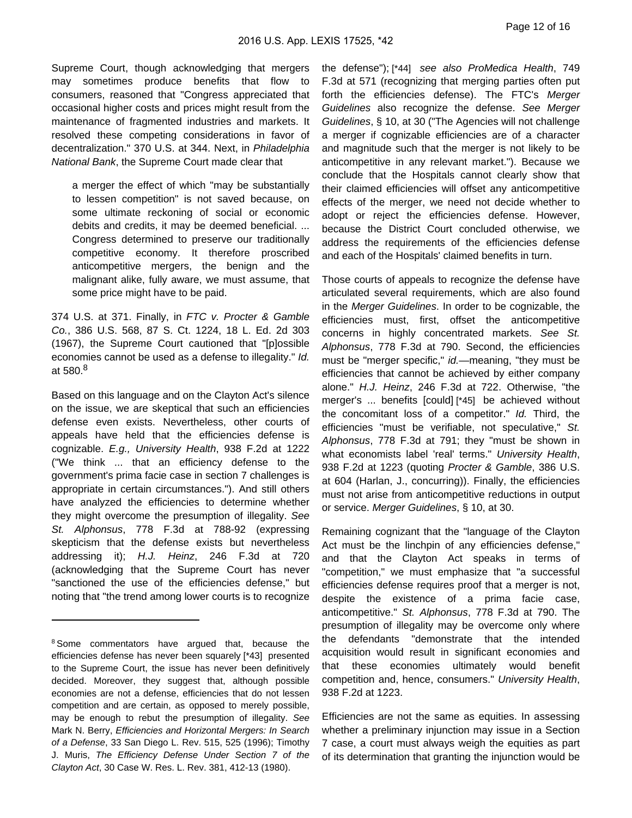Supreme Court, though acknowledging that mergers may sometimes produce benefits that flow to consumers, reasoned that "Congress appreciated that occasional higher costs and prices might result from the maintenance of fragmented industries and markets. It resolved these competing considerations in favor of decentralization." 370 U.S. at 344. Next, in Philadelphia National Bank, the Supreme Court made clear that

a merger the effect of which "may be substantially to lessen competition" is not saved because, on some ultimate reckoning of social or economic debits and credits, it may be deemed beneficial. ... Congress determined to preserve our traditionally competitive economy. It therefore proscribed anticompetitive mergers, the benign and the malignant alike, fully aware, we must assume, that some price might have to be paid.

374 U.S. at 371. Finally, in FTC v. Procter & Gamble Co., 386 U.S. 568, 87 S. Ct. 1224, 18 L. Ed. 2d 303 (1967), the Supreme Court cautioned that "[p]ossible economies cannot be used as a defense to illegality." Id. at  $580.8$ 

Based on this language and on the Clayton Act's silence on the issue, we are skeptical that such an efficiencies defense even exists. Nevertheless, other courts of appeals have held that the efficiencies defense is cognizable. E.g., University Health, 938 F.2d at 1222 ("We think ... that an efficiency defense to the government's prima facie case in section 7 challenges is appropriate in certain circumstances."). And still others have analyzed the efficiencies to determine whether they might overcome the presumption of illegality. See St. Alphonsus, 778 F.3d at 788-92 (expressing skepticism that the defense exists but nevertheless addressing it); H.J. Heinz, 246 F.3d at 720 (acknowledging that the Supreme Court has never "sanctioned the use of the efficiencies defense," but noting that "the trend among lower courts is to recognize

the defense"); [\*44] see also ProMedica Health, 749 F.3d at 571 (recognizing that merging parties often put forth the efficiencies defense). The FTC's Merger Guidelines also recognize the defense. See Merger Guidelines, § 10, at 30 ("The Agencies will not challenge a merger if cognizable efficiencies are of a character and magnitude such that the merger is not likely to be anticompetitive in any relevant market."). Because we conclude that the Hospitals cannot clearly show that their claimed efficiencies will offset any anticompetitive effects of the merger, we need not decide whether to adopt or reject the efficiencies defense. However, because the District Court concluded otherwise, we address the requirements of the efficiencies defense and each of the Hospitals' claimed benefits in turn.

Those courts of appeals to recognize the defense have articulated several requirements, which are also found in the Merger Guidelines. In order to be cognizable, the efficiencies must, first, offset the anticompetitive concerns in highly concentrated markets. See St. Alphonsus, 778 F.3d at 790. Second, the efficiencies must be "merger specific," id.—meaning, "they must be efficiencies that cannot be achieved by either company alone." H.J. Heinz, 246 F.3d at 722. Otherwise, "the merger's ... benefits [could] [\*45] be achieved without the concomitant loss of a competitor." Id. Third, the efficiencies "must be verifiable, not speculative," St. Alphonsus, 778 F.3d at 791; they "must be shown in what economists label 'real' terms." University Health, 938 F.2d at 1223 (quoting Procter & Gamble, 386 U.S. at 604 (Harlan, J., concurring)). Finally, the efficiencies must not arise from anticompetitive reductions in output or service. Merger Guidelines, § 10, at 30.

Remaining cognizant that the "language of the Clayton Act must be the linchpin of any efficiencies defense," and that the Clayton Act speaks in terms of "competition," we must emphasize that "a successful efficiencies defense requires proof that a merger is not, despite the existence of a prima facie case, anticompetitive." St. Alphonsus, 778 F.3d at 790. The presumption of illegality may be overcome only where the defendants "demonstrate that the intended acquisition would result in significant economies and that these economies ultimately would benefit competition and, hence, consumers." University Health, 938 F.2d at 1223.

Efficiencies are not the same as equities. In assessing whether a preliminary injunction may issue in a Section 7 case, a court must always weigh the equities as part of its determination that granting the injunction would be

<sup>&</sup>lt;sup>8</sup> Some commentators have argued that, because the efficiencies defense has never been squarely [\*43] presented to the Supreme Court, the issue has never been definitively decided. Moreover, they suggest that, although possible economies are not a defense, efficiencies that do not lessen competition and are certain, as opposed to merely possible, may be enough to rebut the presumption of illegality. See Mark N. Berry, Efficiencies and Horizontal Mergers: In Search of a Defense, 33 San Diego L. Rev. 515, 525 (1996); Timothy J. Muris, The Efficiency Defense Under Section 7 of the Clayton Act, 30 Case W. Res. L. Rev. 381, 412-13 (1980).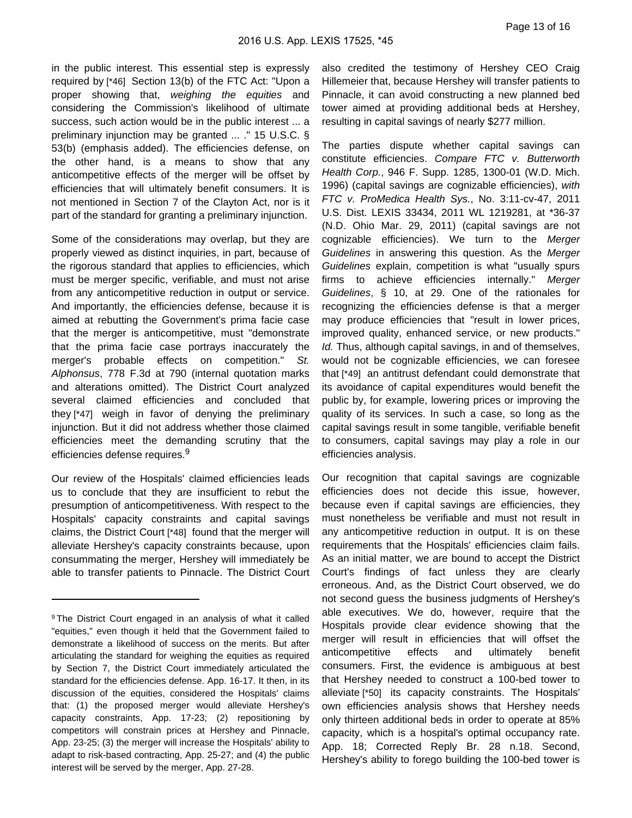in the public interest. This essential step is expressly required by [\*46] Section 13(b) of the FTC Act: "Upon a proper showing that, weighing the equities and considering the Commission's likelihood of ultimate success, such action would be in the public interest ... a preliminary injunction may be granted ... ." 15 U.S.C. § 53(b) (emphasis added). The efficiencies defense, on the other hand, is a means to show that any anticompetitive effects of the merger will be offset by efficiencies that will ultimately benefit consumers. It is not mentioned in Section 7 of the Clayton Act, nor is it part of the standard for granting a preliminary injunction.

Some of the considerations may overlap, but they are properly viewed as distinct inquiries, in part, because of the rigorous standard that applies to efficiencies, which must be merger specific, verifiable, and must not arise from any anticompetitive reduction in output or service. And importantly, the efficiencies defense, because it is aimed at rebutting the Government's prima facie case that the merger is anticompetitive, must "demonstrate that the prima facie case portrays inaccurately the merger's probable effects on competition." St. Alphonsus, 778 F.3d at 790 (internal quotation marks and alterations omitted). The District Court analyzed several claimed efficiencies and concluded that they [\*47] weigh in favor of denying the preliminary injunction. But it did not address whether those claimed efficiencies meet the demanding scrutiny that the efficiencies defense requires.<sup>9</sup>

Our review of the Hospitals' claimed efficiencies leads us to conclude that they are insufficient to rebut the presumption of anticompetitiveness. With respect to the Hospitals' capacity constraints and capital savings claims, the District Court [\*48] found that the merger will alleviate Hershey's capacity constraints because, upon consummating the merger, Hershey will immediately be able to transfer patients to Pinnacle. The District Court also credited the testimony of Hershey CEO Craig Hillemeier that, because Hershey will transfer patients to Pinnacle, it can avoid constructing a new planned bed tower aimed at providing additional beds at Hershey, resulting in capital savings of nearly \$277 million.

The parties dispute whether capital savings can constitute efficiencies. Compare FTC v. Butterworth Health Corp., 946 F. Supp. 1285, 1300-01 (W.D. Mich. 1996) (capital savings are cognizable efficiencies), with FTC v. ProMedica Health Sys., No. 3:11-cv-47, 2011 U.S. Dist. LEXIS 33434, 2011 WL 1219281, at \*36-37 (N.D. Ohio Mar. 29, 2011) (capital savings are not cognizable efficiencies). We turn to the Merger Guidelines in answering this question. As the Merger Guidelines explain, competition is what "usually spurs firms to achieve efficiencies internally." Merger Guidelines, § 10, at 29. One of the rationales for recognizing the efficiencies defense is that a merger may produce efficiencies that "result in lower prices, improved quality, enhanced service, or new products." Id. Thus, although capital savings, in and of themselves, would not be cognizable efficiencies, we can foresee that [\*49] an antitrust defendant could demonstrate that its avoidance of capital expenditures would benefit the public by, for example, lowering prices or improving the quality of its services. In such a case, so long as the capital savings result in some tangible, verifiable benefit to consumers, capital savings may play a role in our efficiencies analysis.

Our recognition that capital savings are cognizable efficiencies does not decide this issue, however, because even if capital savings are efficiencies, they must nonetheless be verifiable and must not result in any anticompetitive reduction in output. It is on these requirements that the Hospitals' efficiencies claim fails. As an initial matter, we are bound to accept the District Court's findings of fact unless they are clearly erroneous. And, as the District Court observed, we do not second guess the business judgments of Hershey's able executives. We do, however, require that the Hospitals provide clear evidence showing that the merger will result in efficiencies that will offset the anticompetitive effects and ultimately benefit consumers. First, the evidence is ambiguous at best that Hershey needed to construct a 100-bed tower to alleviate [\*50] its capacity constraints. The Hospitals' own efficiencies analysis shows that Hershey needs only thirteen additional beds in order to operate at 85% capacity, which is a hospital's optimal occupancy rate. App. 18; Corrected Reply Br. 28 n.18. Second, Hershey's ability to forego building the 100-bed tower is

<sup>&</sup>lt;sup>9</sup> The District Court engaged in an analysis of what it called "equities," even though it held that the Government failed to demonstrate a likelihood of success on the merits. But after articulating the standard for weighing the equities as required by Section 7, the District Court immediately articulated the standard for the efficiencies defense. App. 16-17. It then, in its discussion of the equities, considered the Hospitals' claims that: (1) the proposed merger would alleviate Hershey's capacity constraints, App. 17-23; (2) repositioning by competitors will constrain prices at Hershey and Pinnacle, App. 23-25; (3) the merger will increase the Hospitals' ability to adapt to risk-based contracting, App. 25-27; and (4) the public interest will be served by the merger, App. 27-28.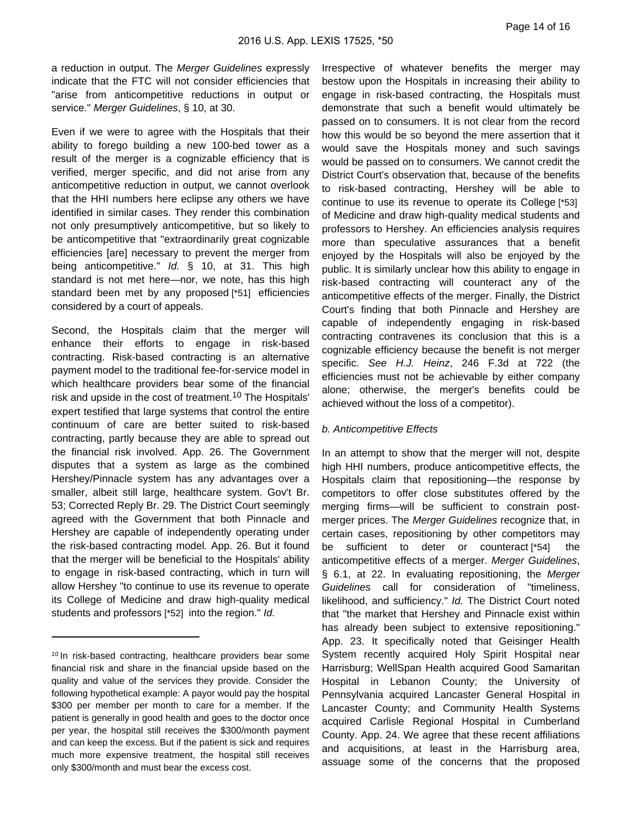a reduction in output. The Merger Guidelines expressly indicate that the FTC will not consider efficiencies that "arise from anticompetitive reductions in output or service." Merger Guidelines, § 10, at 30.

Even if we were to agree with the Hospitals that their ability to forego building a new 100-bed tower as a result of the merger is a cognizable efficiency that is verified, merger specific, and did not arise from any anticompetitive reduction in output, we cannot overlook that the HHI numbers here eclipse any others we have identified in similar cases. They render this combination not only presumptively anticompetitive, but so likely to be anticompetitive that "extraordinarily great cognizable efficiencies [are] necessary to prevent the merger from being anticompetitive." Id. § 10, at 31. This high standard is not met here—nor, we note, has this high standard been met by any proposed [\*51] efficiencies considered by a court of appeals.

Second, the Hospitals claim that the merger will enhance their efforts to engage in risk-based contracting. Risk-based contracting is an alternative payment model to the traditional fee-for-service model in which healthcare providers bear some of the financial risk and upside in the cost of treatment.<sup>10</sup> The Hospitals' expert testified that large systems that control the entire continuum of care are better suited to risk-based contracting, partly because they are able to spread out the financial risk involved. App. 26. The Government disputes that a system as large as the combined Hershey/Pinnacle system has any advantages over a smaller, albeit still large, healthcare system. Gov't Br. 53; Corrected Reply Br. 29. The District Court seemingly agreed with the Government that both Pinnacle and Hershey are capable of independently operating under the risk-based contracting model. App. 26. But it found that the merger will be beneficial to the Hospitals' ability to engage in risk-based contracting, which in turn will allow Hershey "to continue to use its revenue to operate its College of Medicine and draw high-quality medical students and professors [\*52] into the region." Id.

Irrespective of whatever benefits the merger may bestow upon the Hospitals in increasing their ability to engage in risk-based contracting, the Hospitals must demonstrate that such a benefit would ultimately be passed on to consumers. It is not clear from the record how this would be so beyond the mere assertion that it would save the Hospitals money and such savings would be passed on to consumers. We cannot credit the District Court's observation that, because of the benefits to risk-based contracting, Hershey will be able to continue to use its revenue to operate its College [\*53] of Medicine and draw high-quality medical students and professors to Hershey. An efficiencies analysis requires more than speculative assurances that a benefit enjoyed by the Hospitals will also be enjoyed by the public. It is similarly unclear how this ability to engage in risk-based contracting will counteract any of the anticompetitive effects of the merger. Finally, the District Court's finding that both Pinnacle and Hershey are capable of independently engaging in risk-based contracting contravenes its conclusion that this is a cognizable efficiency because the benefit is not merger specific. See H.J. Heinz, 246 F.3d at 722 (the efficiencies must not be achievable by either company alone; otherwise, the merger's benefits could be achieved without the loss of a competitor).

#### b. Anticompetitive Effects

In an attempt to show that the merger will not, despite high HHI numbers, produce anticompetitive effects, the Hospitals claim that repositioning—the response by competitors to offer close substitutes offered by the merging firms—will be sufficient to constrain postmerger prices. The Merger Guidelines recognize that, in certain cases, repositioning by other competitors may be sufficient to deter or counteract [\*54] the anticompetitive effects of a merger. Merger Guidelines, § 6.1, at 22. In evaluating repositioning, the Merger Guidelines call for consideration of "timeliness, likelihood, and sufficiency." Id. The District Court noted that "the market that Hershey and Pinnacle exist within has already been subject to extensive repositioning." App. 23. It specifically noted that Geisinger Health System recently acquired Holy Spirit Hospital near Harrisburg; WellSpan Health acquired Good Samaritan Hospital in Lebanon County; the University of Pennsylvania acquired Lancaster General Hospital in Lancaster County; and Community Health Systems acquired Carlisle Regional Hospital in Cumberland County. App. 24. We agree that these recent affiliations and acquisitions, at least in the Harrisburg area, assuage some of the concerns that the proposed

<sup>&</sup>lt;sup>10</sup> In risk-based contracting, healthcare providers bear some financial risk and share in the financial upside based on the quality and value of the services they provide. Consider the following hypothetical example: A payor would pay the hospital \$300 per member per month to care for a member. If the patient is generally in good health and goes to the doctor once per year, the hospital still receives the \$300/month payment and can keep the excess. But if the patient is sick and requires much more expensive treatment, the hospital still receives only \$300/month and must bear the excess cost.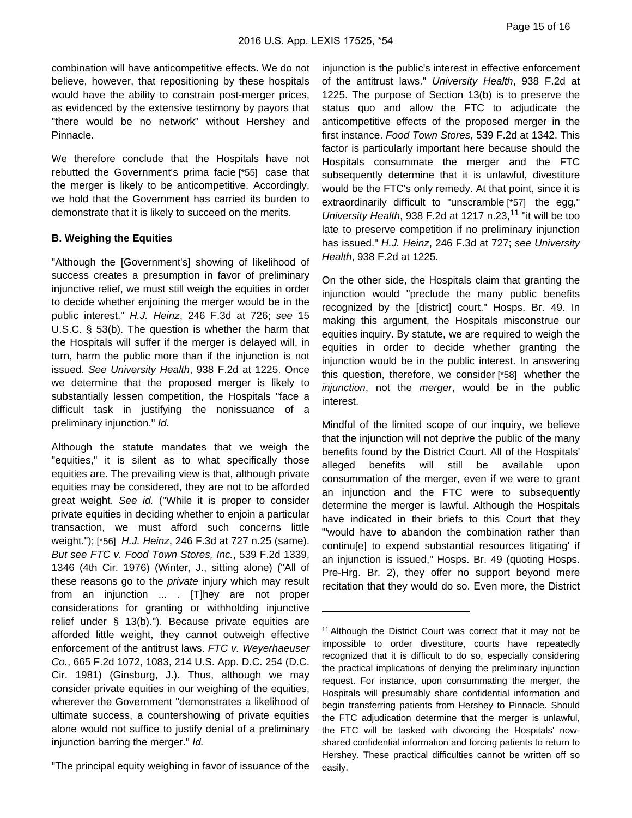combination will have anticompetitive effects. We do not believe, however, that repositioning by these hospitals would have the ability to constrain post-merger prices, as evidenced by the extensive testimony by payors that "there would be no network" without Hershey and Pinnacle.

We therefore conclude that the Hospitals have not rebutted the Government's prima facie [\*55] case that the merger is likely to be anticompetitive. Accordingly, we hold that the Government has carried its burden to demonstrate that it is likely to succeed on the merits.

## **B. Weighing the Equities**

"Although the [Government's] showing of likelihood of success creates a presumption in favor of preliminary injunctive relief, we must still weigh the equities in order to decide whether enjoining the merger would be in the public interest." H.J. Heinz, 246 F.3d at 726; see 15 U.S.C. § 53(b). The question is whether the harm that the Hospitals will suffer if the merger is delayed will, in turn, harm the public more than if the injunction is not issued. See University Health, 938 F.2d at 1225. Once we determine that the proposed merger is likely to substantially lessen competition, the Hospitals "face a difficult task in justifying the nonissuance of a preliminary injunction." Id.

Although the statute mandates that we weigh the "equities," it is silent as to what specifically those equities are. The prevailing view is that, although private equities may be considered, they are not to be afforded great weight. See id. ("While it is proper to consider private equities in deciding whether to enjoin a particular transaction, we must afford such concerns little weight."); [\*56] H.J. Heinz, 246 F.3d at 727 n.25 (same). But see FTC v. Food Town Stores, Inc., 539 F.2d 1339, 1346 (4th Cir. 1976) (Winter, J., sitting alone) ("All of these reasons go to the *private* injury which may result from an injunction ... . [T]hey are not proper considerations for granting or withholding injunctive relief under § 13(b)."). Because private equities are afforded little weight, they cannot outweigh effective enforcement of the antitrust laws. FTC v. Weyerhaeuser Co., 665 F.2d 1072, 1083, 214 U.S. App. D.C. 254 (D.C. Cir. 1981) (Ginsburg, J.). Thus, although we may consider private equities in our weighing of the equities, wherever the Government "demonstrates a likelihood of ultimate success, a countershowing of private equities alone would not suffice to justify denial of a preliminary injunction barring the merger." Id.

"The principal equity weighing in favor of issuance of the

injunction is the public's interest in effective enforcement of the antitrust laws." University Health, 938 F.2d at 1225. The purpose of Section 13(b) is to preserve the status quo and allow the FTC to adjudicate the anticompetitive effects of the proposed merger in the first instance. Food Town Stores, 539 F.2d at 1342. This factor is particularly important here because should the Hospitals consummate the merger and the FTC subsequently determine that it is unlawful, divestiture would be the FTC's only remedy. At that point, since it is extraordinarily difficult to "unscramble [\*57] the egg," University Health, 938 F.2d at 1217 n.23,<sup>11</sup> "it will be too late to preserve competition if no preliminary injunction has issued." H.J. Heinz, 246 F.3d at 727; see University Health, 938 F.2d at 1225.

On the other side, the Hospitals claim that granting the injunction would "preclude the many public benefits recognized by the [district] court." Hosps. Br. 49. In making this argument, the Hospitals misconstrue our equities inquiry. By statute, we are required to weigh the equities in order to decide whether granting the injunction would be in the public interest. In answering this question, therefore, we consider [\*58] whether the injunction, not the merger, would be in the public interest.

Mindful of the limited scope of our inquiry, we believe that the injunction will not deprive the public of the many benefits found by the District Court. All of the Hospitals' alleged benefits will still be available upon consummation of the merger, even if we were to grant an injunction and the FTC were to subsequently determine the merger is lawful. Although the Hospitals have indicated in their briefs to this Court that they "'would have to abandon the combination rather than continu[e] to expend substantial resources litigating' if an injunction is issued," Hosps. Br. 49 (quoting Hosps. Pre-Hrg. Br. 2), they offer no support beyond mere recitation that they would do so. Even more, the District

<sup>&</sup>lt;sup>11</sup> Although the District Court was correct that it may not be impossible to order divestiture, courts have repeatedly recognized that it is difficult to do so, especially considering the practical implications of denying the preliminary injunction request. For instance, upon consummating the merger, the Hospitals will presumably share confidential information and begin transferring patients from Hershey to Pinnacle. Should the FTC adjudication determine that the merger is unlawful, the FTC will be tasked with divorcing the Hospitals' nowshared confidential information and forcing patients to return to Hershey. These practical difficulties cannot be written off so easily.